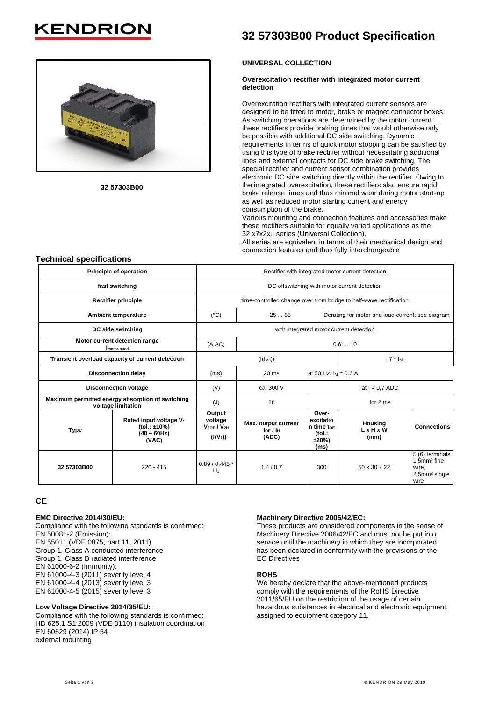# **KENDRIO**



**32 57303B00**

# **32 57303B00 Product Specification**

## **UNIVERSAL COLLECTION**

#### **Overexcitation rectifier with integrated motor current detection**

Overexcitation rectifiers with integrated current sensors are designed to be fitted to motor, brake or magnet connector boxes. As switching operations are determined by the motor current, these rectifiers provide braking times that would otherwise only be possible with additional DC side switching. Dynamic requirements in terms of quick motor stopping can be satisfied by using this type of brake rectifier without necessitating additional lines and external contacts for DC side brake switching. The special rectifier and current sensor combination provides electronic DC side switching directly within the rectifier. Owing to the integrated overexcitation, these rectifiers also ensure rapid brake release times and thus minimal wear during motor start-up as well as reduced motor starting current and energy consumption of the brake.

Various mounting and connection features and accessories make these rectifiers suitable for equally varied applications as the 32 x7x2x.. series (Universal Collection).

All series are equivalent in terms of their mechanical design and connection features and thus fully interchangeable

# **Technical specifications**

| Principle of operation                                                 |                                                                               | Rectifier with integrated motor current detection                  |                                                 |                                                              |                                                  |                                                                                          |
|------------------------------------------------------------------------|-------------------------------------------------------------------------------|--------------------------------------------------------------------|-------------------------------------------------|--------------------------------------------------------------|--------------------------------------------------|------------------------------------------------------------------------------------------|
| fast switching                                                         |                                                                               | DC offswitching with motor current detection                       |                                                 |                                                              |                                                  |                                                                                          |
| <b>Rectifier principle</b>                                             |                                                                               | time-controlled change over from bridge to half-wave rectification |                                                 |                                                              |                                                  |                                                                                          |
| Ambient temperature                                                    |                                                                               | $(^{\circ}C)$                                                      | $-2585$                                         |                                                              | Derating for motor and load current: see diagram |                                                                                          |
| DC side switching                                                      |                                                                               | with integrated motor current detection                            |                                                 |                                                              |                                                  |                                                                                          |
| Motor current detection range<br>I <sub>motor-rated</sub>              |                                                                               | (A AC)                                                             | 0.610                                           |                                                              |                                                  |                                                                                          |
| Transient overload capacity of current detection                       |                                                                               |                                                                    | $(f(I_{Mn}))$                                   |                                                              | $-7$ * $I_{Mn}$                                  |                                                                                          |
| <b>Disconnection delay</b>                                             |                                                                               | (ms)                                                               | 20 <sub>ms</sub>                                | at 50 Hz, $I_M = 0.6$ A                                      |                                                  |                                                                                          |
| <b>Disconnection voltage</b>                                           |                                                                               | (V)                                                                | ca. 300 V                                       | at $I = 0.7$ ADC                                             |                                                  |                                                                                          |
| Maximum permitted energy absorption of switching<br>voltage limitation |                                                                               | (J)                                                                | 28                                              | for 2 ms                                                     |                                                  |                                                                                          |
| <b>Type</b>                                                            | Rated input voltage V <sub>1</sub><br>(tol.: ±10%)<br>$(40 - 60$ Hz)<br>(VAC) | Output<br>voltage<br>$V_{20F}$ / $V_{2H}$<br>$(f(V_1))$            | Max. output current<br>$I$ loe / I $H$<br>(ADC) | Over-<br>excitatio<br>n time to E<br>(tol.:<br>±20%)<br>(ms) | Housing<br>L x H x W<br>(mm)                     | <b>Connections</b>                                                                       |
| 32 57303B00                                                            | $220 - 415$                                                                   | $0.89/0.445*$<br>U <sub>1</sub>                                    | 1.4/0.7                                         | 300                                                          | 50 x 30 x 22                                     | 5 (6) terminals<br>1.5mm <sup>2</sup> fine<br>wire,<br>2.5mm <sup>2</sup> single<br>wire |

# **CE**

#### **EMC Directive 2014/30/EU:**

Compliance with the following standards is confirmed: EN 50081-2 (Emission): EN 55011 (VDE 0875, part 11, 2011) Group 1, Class A conducted interference Group 1, Class B radiated interference EN 61000-6-2 (Immunity): EN 61000-4-3 (2011) severity level 4 EN 61000-4-4 (2013) severity level 3 EN 61000-4-5 (2015) severity level 3

#### **Low Voltage Directive 2014/35/EU:**

Compliance with the following standards is confirmed: HD 625.1 S1:2009 (VDE 0110) insulation coordination EN 60529 (2014) IP 54 external mounting

## **Machinery Directive 2006/42/EC:**

These products are considered components in the sense of Machinery Directive 2006/42/EC and must not be put into service until the machinery in which they are incorporated has been declared in conformity with the provisions of the EC Directives

#### **ROHS**

We hereby declare that the above-mentioned products comply with the requirements of the RoHS Directive 2011/65/EU on the restriction of the usage of certain hazardous substances in electrical and electronic equipment, assigned to equipment category 11.